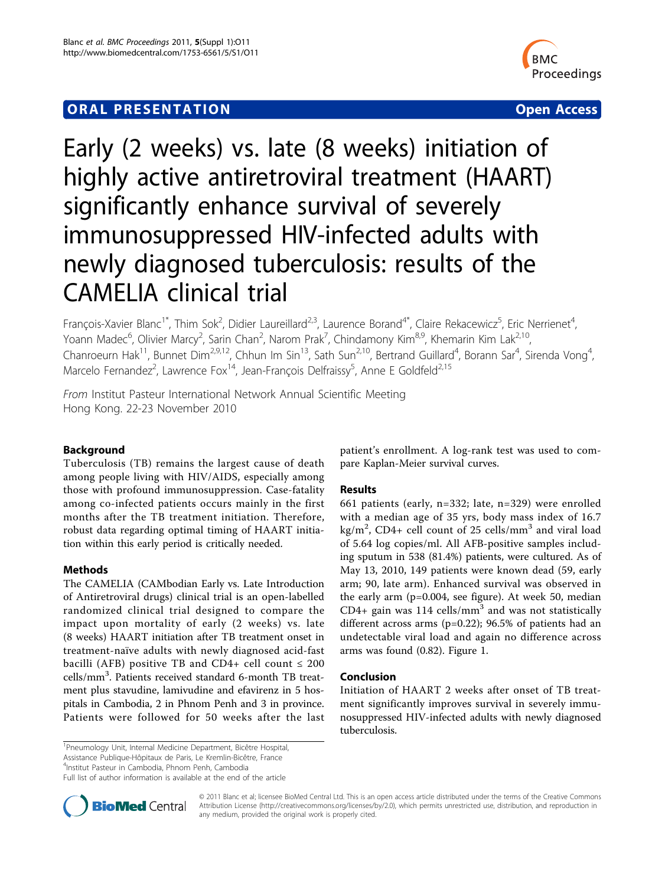# **ORAL PRESENTATION OPEN ACCESS**



# Early (2 weeks) vs. late (8 weeks) initiation of highly active antiretroviral treatment (HAART) significantly enhance survival of severely immunosuppressed HIV-infected adults with newly diagnosed tuberculosis: results of the CAMELIA clinical trial

François-Xavier Blanc<sup>1\*</sup>, Thim Sok<sup>2</sup>, Didier Laureillard<sup>2,3</sup>, Laurence Borand<sup>4\*</sup>, Claire Rekacewicz<sup>5</sup>, Eric Nerrienet<sup>4</sup> , Yoann Madec<sup>6</sup>, Olivier Marcy<sup>2</sup>, Sarin Chan<sup>2</sup>, Narom Prak<sup>7</sup>, Chindamony Kim<sup>8,9</sup>, Khemarin Kim Lak<sup>2,10</sup>, Chanroeurn Hak<sup>11</sup>, Bunnet Dim<sup>2,9,12</sup>, Chhun Im Sin<sup>13</sup>, Sath Sun<sup>2,10</sup>, Bertrand Guillard<sup>4</sup>, Borann Sar<sup>4</sup>, Sirenda Vong<sup>4</sup> , Marcelo Fernandez<sup>2</sup>, Lawrence Fox<sup>14</sup>, Jean-François Delfraissy<sup>5</sup>, Anne E Goldfeld<sup>2,15</sup>

From Institut Pasteur International Network Annual Scientific Meeting Hong Kong. 22-23 November 2010

# Background

Tuberculosis (TB) remains the largest cause of death among people living with HIV/AIDS, especially among those with profound immunosuppression. Case-fatality among co-infected patients occurs mainly in the first months after the TB treatment initiation. Therefore, robust data regarding optimal timing of HAART initiation within this early period is critically needed.

## Methods

The CAMELIA (CAMbodian Early vs. Late Introduction of Antiretroviral drugs) clinical trial is an open-labelled randomized clinical trial designed to compare the impact upon mortality of early (2 weeks) vs. late (8 weeks) HAART initiation after TB treatment onset in treatment-naïve adults with newly diagnosed acid-fast bacilli (AFB) positive TB and CD4+ cell count  $\leq 200$ cells/mm<sup>3</sup>. Patients received standard 6-month TB treatment plus stavudine, lamivudine and efavirenz in 5 hospitals in Cambodia, 2 in Phnom Penh and 3 in province. Patients were followed for 50 weeks after the last

patient's enrollment. A log-rank test was used to compare Kaplan-Meier survival curves.

## Results

661 patients (early, n=332; late, n=329) were enrolled with a median age of 35 yrs, body mass index of 16.7 kg/m<sup>2</sup>, CD4+ cell count of 25 cells/mm<sup>3</sup> and viral load of 5.64 log copies/ml. All AFB-positive samples including sputum in 538 (81.4%) patients, were cultured. As of May 13, 2010, 149 patients were known dead (59, early arm; 90, late arm). Enhanced survival was observed in the early arm (p=0.004, see figure). At week 50, median CD4+ gain was 114 cells/mm<sup>3</sup> and was not statistically different across arms (p=0.22); 96.5% of patients had an undetectable viral load and again no difference across arms was found (0.82). Figure [1](#page-1-0).

#### Conclusion

Initiation of HAART 2 weeks after onset of TB treatment significantly improves survival in severely immunosuppressed HIV-infected adults with newly diagnosed tuberculosis.

4 Institut Pasteur in Cambodia, Phnom Penh, Cambodia

Full list of author information is available at the end of the article



© 2011 Blanc et al; licensee BioMed Central Ltd. This is an open access article distributed under the terms of the Creative Commons Attribution License [\(http://creativecommons.org/licenses/by/2.0](http://creativecommons.org/licenses/by/2.0)), which permits unrestricted use, distribution, and reproduction in any medium, provided the original work is properly cited.

<sup>&</sup>lt;sup>1</sup>Pneumology Unit, Internal Medicine Department, Bicêtre Hospital, Assistance Publique-Hôpitaux de Paris, Le Kremlin-Bicêtre, France